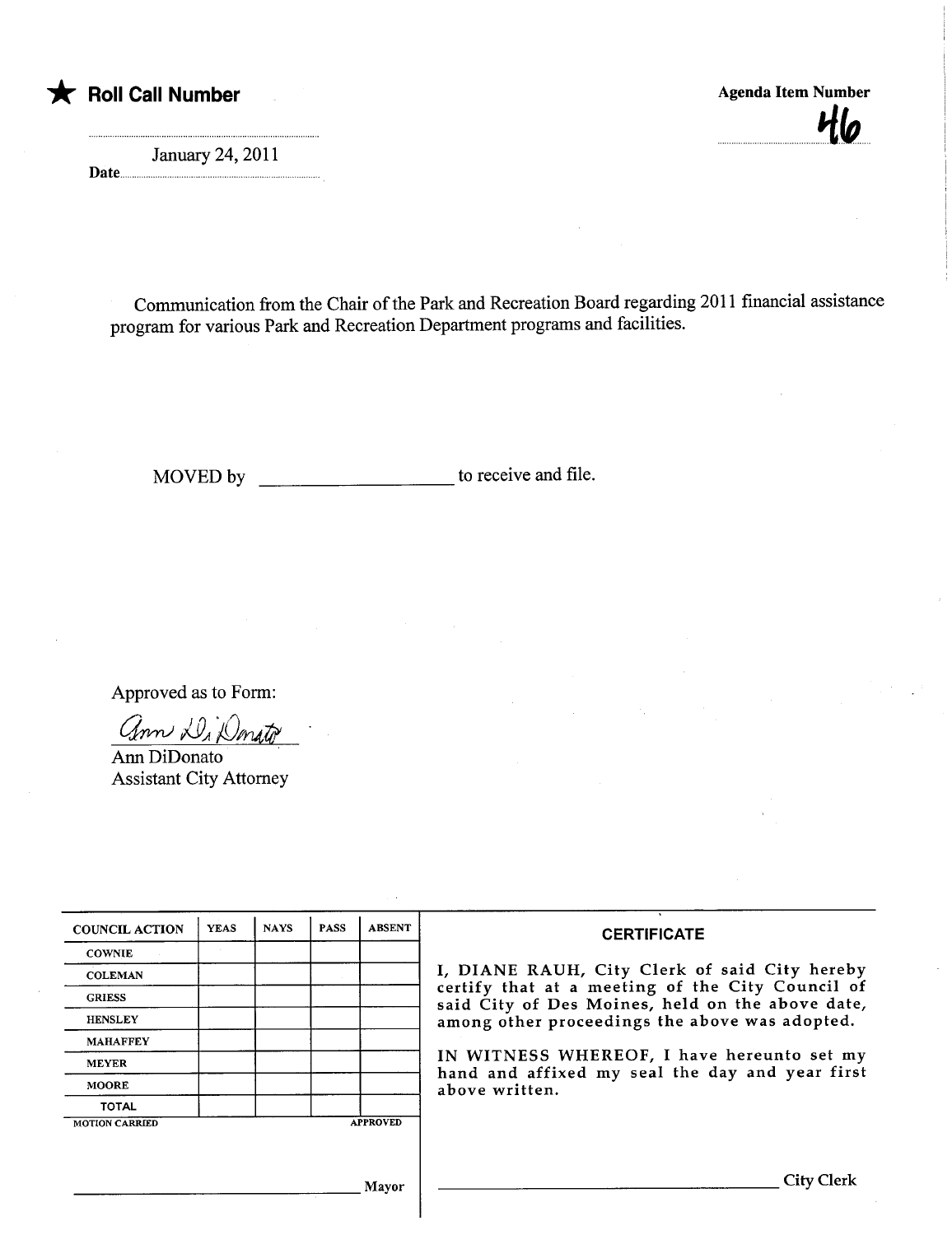

January 24, 2011 Date

...................

\* Roll Call Number Agenda Item Number Agenda Item Number moonomoonomoo waxaa ah

Communication from the Chair of the Park and Recreation Board regarding 2011 financial assistance program for various Park and Recreation Deparment programs and facilities.

MOVED by to receive and fie.

Approved as to Form:

ann Di Donato

Ann DiDonato Assistant City Attorney

| <b>COUNCIL ACTION</b> | <b>YEAS</b> | <b>NAYS</b> | <b>PASS</b> | <b>ABSENT</b>   | <b>CERTIFICATE</b>                                                                                                                                                                                                                                                                                                         |
|-----------------------|-------------|-------------|-------------|-----------------|----------------------------------------------------------------------------------------------------------------------------------------------------------------------------------------------------------------------------------------------------------------------------------------------------------------------------|
| <b>COWNIE</b>         |             |             |             |                 |                                                                                                                                                                                                                                                                                                                            |
| <b>COLEMAN</b>        |             |             |             |                 | I, DIANE RAUH, City Clerk of said City hereby<br>certify that at a meeting of the City Council of<br>said City of Des Moines, held on the above date,<br>among other proceedings the above was adopted.<br>IN WITNESS WHEREOF, I have hereunto set my<br>hand and affixed my seal the day and year first<br>above written. |
| <b>GRIESS</b>         |             |             |             |                 |                                                                                                                                                                                                                                                                                                                            |
| <b>HENSLEY</b>        |             |             |             |                 |                                                                                                                                                                                                                                                                                                                            |
| <b>MAHAFFEY</b>       |             |             |             |                 |                                                                                                                                                                                                                                                                                                                            |
| <b>MEYER</b>          |             |             |             |                 |                                                                                                                                                                                                                                                                                                                            |
| MOORE                 |             |             |             |                 |                                                                                                                                                                                                                                                                                                                            |
| <b>TOTAL</b>          |             |             |             |                 |                                                                                                                                                                                                                                                                                                                            |
| <b>MOTION CARRIED</b> |             |             |             | <b>APPROVED</b> |                                                                                                                                                                                                                                                                                                                            |
|                       |             |             |             |                 |                                                                                                                                                                                                                                                                                                                            |
|                       |             |             |             | Mayor           | City Clerk                                                                                                                                                                                                                                                                                                                 |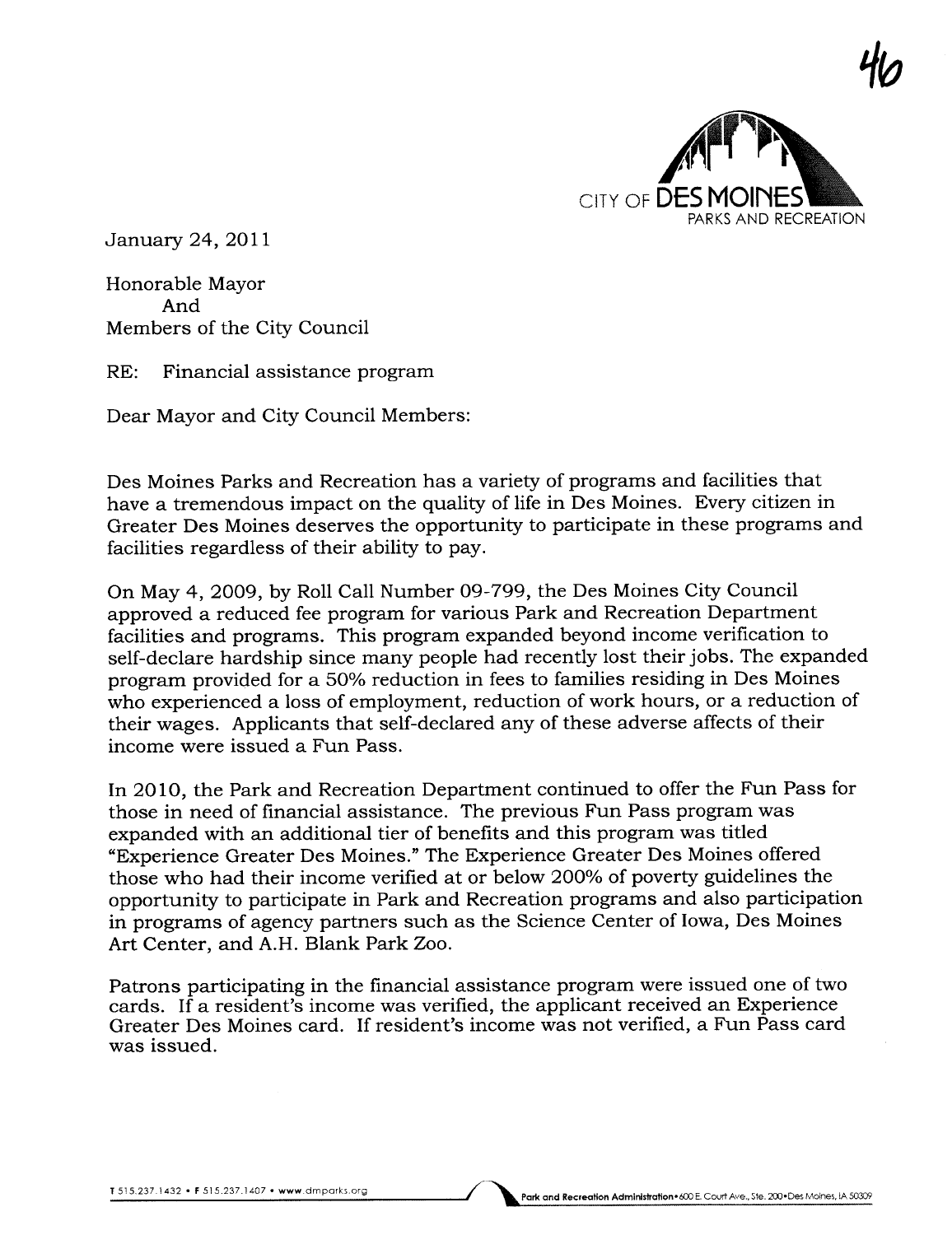

January 24,2011

Honorable Mayor And Members of the City Council

RE: Financial assistance program

Dear Mayor and City Council Members:

Des Moines Parks and Recreation has a variety of programs and facilities that have a tremendous impact on the quality of life in Des Moines. Every citizen in Greater Des Moines deserves the opportunity to participate in these programs and facilities regardless of their ability to pay.

On May 4, 2009, by Roll Call Number 09-799, the Des Moines City Council approved a reduced fee program for various Park and Recreation Department facilities and programs. This program expanded beyond income verification to self-declare hardship since many people had recently lost their jobs. The expanded program provided for a 50% reduction in fees to families residing in Des Moines who experienced a loss of employment, reduction of work hours, or a reduction of their wages. Applicants that self-declared any of these adverse affects of their income were issued a Fun Pass.

In 2010, the Park and Recreation Department continued to offer the Fun Pass for those in need of financial assistance. The previous Fun Pass program was expanded with an additional tier of benefits and this program was titled "Experience Greater Des Moines." The Experience Greater Des Moines offered those who had their income verified at or below 200% of poverty guidelines the opportunity to participate in Park and Recreation programs and also participation in programs of agency partners such as the Science Center of Iowa, Des Moines Art Center, and A.H. Blank Park Zoo.

Patrons participating in the financial assistance program were issued one of two cards. If a resident's income was verified, the applicant received an Experience Greater Des Moines card. If resident's income was not verified, a Fun Pass card was issued.